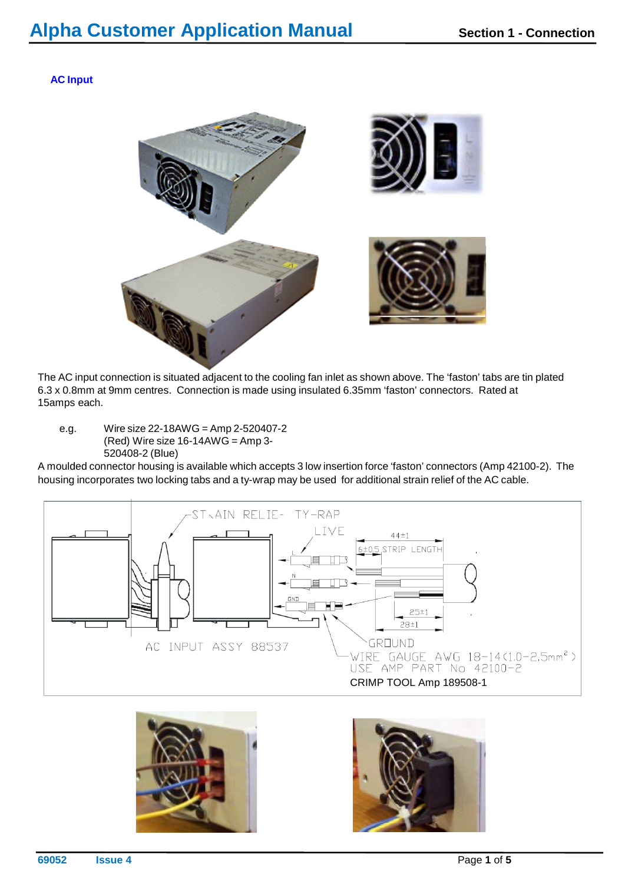**AC Input**



The AC input connection is situated adjacent to the cooling fan inlet as shown above. The 'faston' tabs are tin plated 6.3 x 0.8mm at 9mm centres. Connection is made using insulated 6.35mm 'faston' connectors. Rated at 15amps each.

e.g. Wire size 22-18AWG = Amp 2-520407-2 (Red) Wire size  $16-14AWG = Amp3$ -520408-2 (Blue)

A moulded connector housing is available which accepts 3 low insertion force 'faston' connectors (Amp 42100-2). The housing incorporates two locking tabs and a ty-wrap may be used for additional strain relief of the AC cable.





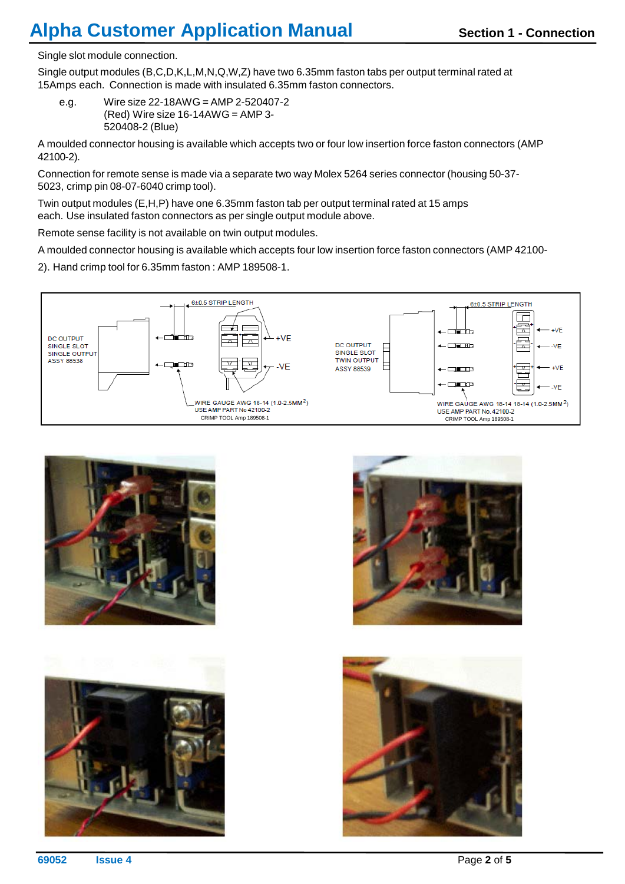## **Alpha Customer Application Manual <b>Section** 1 - Connection

Single slot module connection.

Single output modules (B,C,D,K,L,M,N,Q,W,Z) have two 6.35mm faston tabs per output terminal rated at 15Amps each. Connection is made with insulated 6.35mm faston connectors.

e.g. Wire size 22-18AWG = AMP 2-520407-2  $(Red)$  Wire size 16-14AWG = AMP 3-520408-2 (Blue)

A moulded connector housing is available which accepts two or four low insertion force faston connectors (AMP 42100-2).

Connection for remote sense is made via a separate two way Molex 5264 series connector (housing 50-37- 5023, crimp pin 08-07-6040 crimp tool).

Twin output modules (E,H,P) have one 6.35mm faston tab per output terminal rated at 15 amps each. Use insulated faston connectors as per single output module above.

Remote sense facility is not available on twin output modules.

A moulded connector housing is available which accepts four low insertion force faston connectors (AMP 42100-

2). Hand crimp tool for 6.35mm faston : AMP 189508-1.









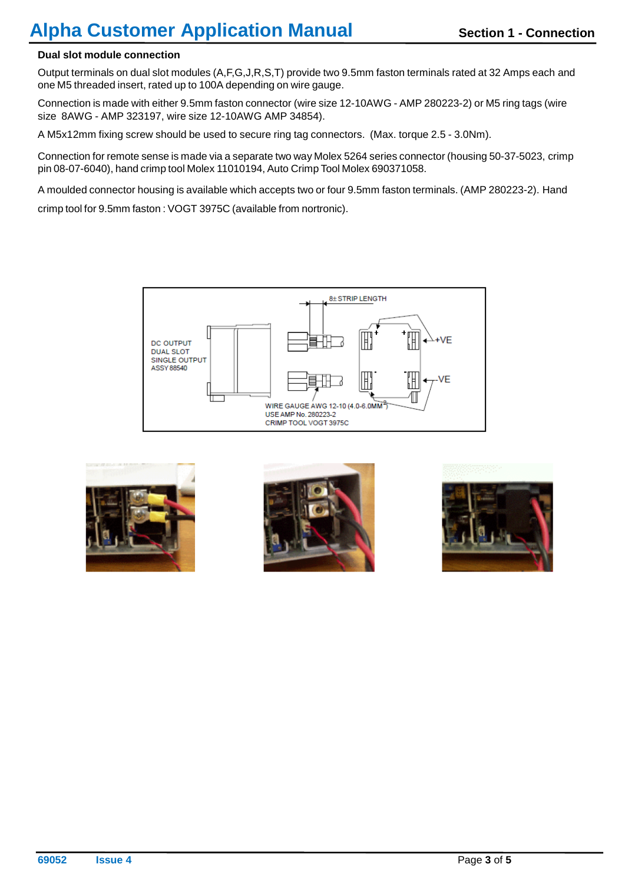#### **Dual slot module connection**

Output terminals on dual slot modules (A,F,G,J,R,S,T) provide two 9.5mm faston terminals rated at 32 Amps each and one M5 threaded insert, rated up to 100A depending on wire gauge.

Connection is made with either 9.5mm faston connector (wire size 12-10AWG - AMP 280223-2) or M5 ring tags (wire size 8AWG - AMP 323197, wire size 12-10AWG AMP 34854).

A M5x12mm fixing screw should be used to secure ring tag connectors. (Max. torque 2.5 - 3.0Nm).

Connection for remote sense is made via a separate two way Molex 5264 series connector (housing 50-37-5023, crimp pin 08-07-6040), hand crimp tool Molex 11010194, Auto Crimp Tool Molex 690371058.

A moulded connector housing is available which accepts two or four 9.5mm faston terminals. (AMP 280223-2). Hand

crimp tool for 9.5mm faston : VOGT 3975C (available from nortronic).







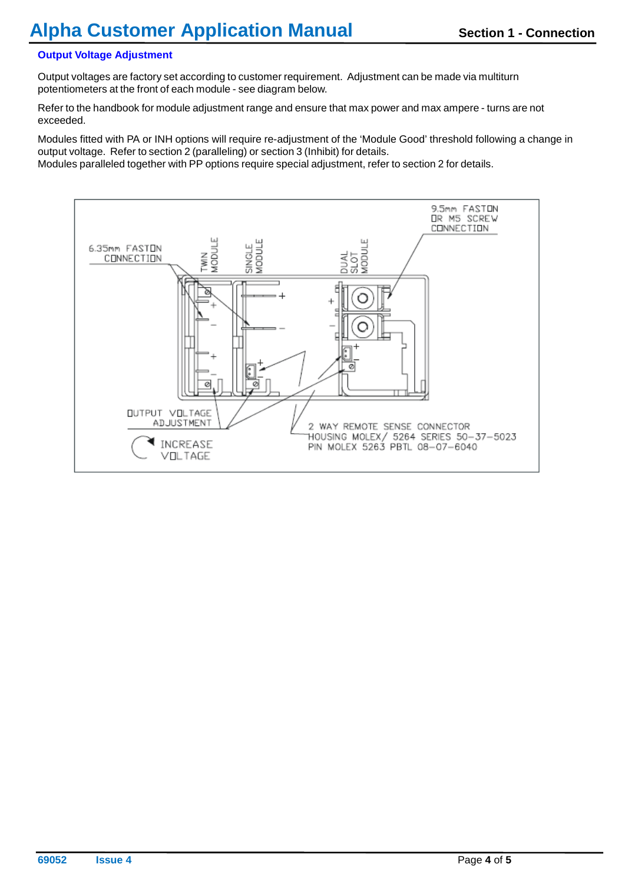#### **Output Voltage Adjustment**

Output voltages are factory set according to customer requirement. Adjustment can be made via multiturn potentiometers at the front of each module - see diagram below.

Refer to the handbook for module adjustment range and ensure that max power and max ampere - turns are not exceeded.

Modules fitted with PA or INH options will require re-adjustment of the 'Module Good' threshold following a change in output voltage. Refer to section 2 (paralleling) or section 3 (Inhibit) for details.

Modules paralleled together with PP options require special adjustment, refer to section 2 for details.